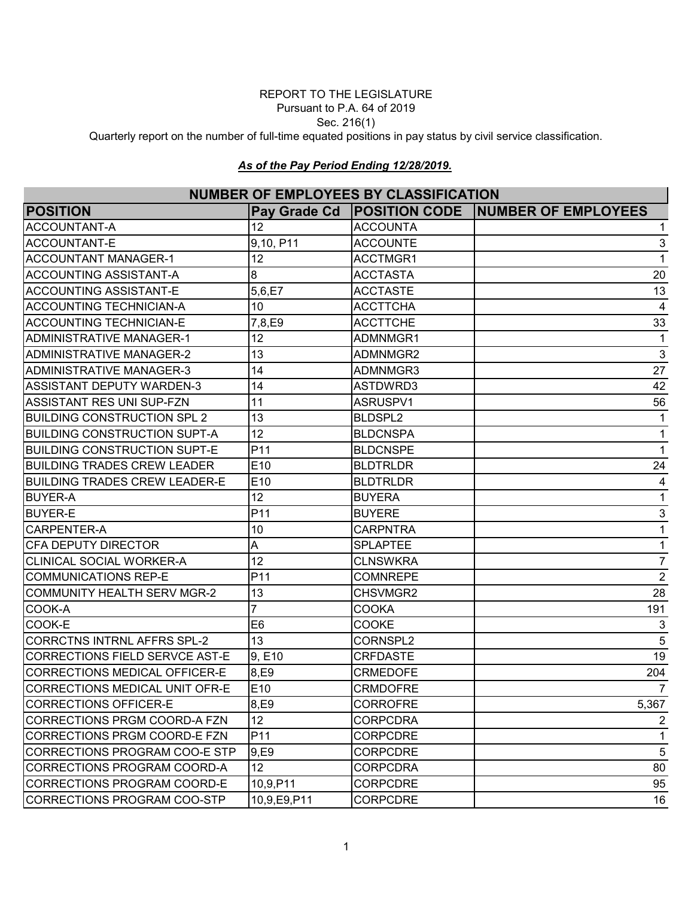#### REPORT TO THE LEGISLATURE Pursuant to P.A. 64 of 2019

Sec. 216(1)

Quarterly report on the number of full-time equated positions in pay status by civil service classification.

#### *As of the Pay Period Ending 12/28/2019.*

# **NUMBER OF EMPLOYEES BY CLASSIFICATION**

| וזטוווטבוז טו בוזוו בט ובבט טו טברוטוו וטרווטוז |                 |                 |                                                    |  |
|-------------------------------------------------|-----------------|-----------------|----------------------------------------------------|--|
| <b>POSITION</b>                                 |                 |                 | Pay Grade Cd   POSITION CODE   NUMBER OF EMPLOYEES |  |
| <b>ACCOUNTANT-A</b>                             | 12              | <b>ACCOUNTA</b> | 1                                                  |  |
| <b>ACCOUNTANT-E</b>                             | 9,10, P11       | <b>ACCOUNTE</b> | 3                                                  |  |
| <b>ACCOUNTANT MANAGER-1</b>                     | 12              | ACCTMGR1        | $\mathbf{1}$                                       |  |
| IACCOUNTING ASSISTANT-A                         | 8               | <b>ACCTASTA</b> | 20                                                 |  |
| <b>ACCOUNTING ASSISTANT-E</b>                   | 5,6,E7          | <b>ACCTASTE</b> | 13                                                 |  |
| <b>ACCOUNTING TECHNICIAN-A</b>                  | 10              | <b>ACCTTCHA</b> | 4                                                  |  |
| <b>ACCOUNTING TECHNICIAN-E</b>                  | 7,8,E9          | <b>ACCTTCHE</b> | 33                                                 |  |
| ADMINISTRATIVE MANAGER-1                        | 12              | ADMNMGR1        | 1                                                  |  |
| ADMINISTRATIVE MANAGER-2                        | 13              | ADMNMGR2        | $\mathbf{3}$                                       |  |
| ADMINISTRATIVE MANAGER-3                        | 14              | ADMNMGR3        | 27                                                 |  |
| <b>ASSISTANT DEPUTY WARDEN-3</b>                | 14              | ASTDWRD3        | 42                                                 |  |
| <b>ASSISTANT RES UNI SUP-FZN</b>                | 11              | ASRUSPV1        | 56                                                 |  |
| <b>BUILDING CONSTRUCTION SPL 2</b>              | 13              | BLDSPL2         | 1                                                  |  |
| <b>BUILDING CONSTRUCTION SUPT-A</b>             | 12              | <b>BLDCNSPA</b> | 1                                                  |  |
| <b>BUILDING CONSTRUCTION SUPT-E</b>             | P11             | <b>BLDCNSPE</b> | $\mathbf{1}$                                       |  |
| <b>BUILDING TRADES CREW LEADER</b>              | E10             | <b>BLDTRLDR</b> | 24                                                 |  |
| <b>BUILDING TRADES CREW LEADER-E</b>            | E <sub>10</sub> | <b>BLDTRLDR</b> | 4                                                  |  |
| <b>BUYER-A</b>                                  | 12              | <b>BUYERA</b>   | 1                                                  |  |
| <b>BUYER-E</b>                                  | P11             | <b>BUYERE</b>   | $\sqrt{3}$                                         |  |
| CARPENTER-A                                     | 10              | <b>CARPNTRA</b> | $\mathbf{1}$                                       |  |
| <b>CFA DEPUTY DIRECTOR</b>                      | A               | <b>SPLAPTEE</b> | 1                                                  |  |
| <b>CLINICAL SOCIAL WORKER-A</b>                 | 12              | <b>CLNSWKRA</b> | $\overline{7}$                                     |  |
| COMMUNICATIONS REP-E                            | P <sub>11</sub> | <b>COMNREPE</b> | $\overline{2}$                                     |  |
| COMMUNITY HEALTH SERV MGR-2                     | 13              | CHSVMGR2        | 28                                                 |  |
| COOK-A                                          |                 | <b>COOKA</b>    | 191                                                |  |
| COOK-E                                          | E <sub>6</sub>  | <b>COOKE</b>    | 3                                                  |  |
| CORRCTNS INTRNL AFFRS SPL-2                     | 13              | CORNSPL2        | 5                                                  |  |
| CORRECTIONS FIELD SERVCE AST-E                  | 9, E10          | <b>CRFDASTE</b> | 19                                                 |  |
| CORRECTIONS MEDICAL OFFICER-E                   | 8,E9            | <b>CRMEDOFE</b> | 204                                                |  |
| CORRECTIONS MEDICAL UNIT OFR-E                  | E10             | <b>CRMDOFRE</b> | 7                                                  |  |
| CORRECTIONS OFFICER-E                           | 8,E9            | <b>CORROFRE</b> | 5,367                                              |  |
| CORRECTIONS PRGM COORD-A FZN                    | 12 <sup>°</sup> | <b>CORPCDRA</b> | 2                                                  |  |
| CORRECTIONS PRGM COORD-E FZN                    | P11             | <b>CORPCDRE</b> | 1                                                  |  |
| CORRECTIONS PROGRAM COO-E STP                   | 9,E9            | CORPCDRE        | $\overline{5}$                                     |  |
| CORRECTIONS PROGRAM COORD-A                     | 12 <sub>2</sub> | <b>CORPCDRA</b> | 80                                                 |  |
| CORRECTIONS PROGRAM COORD-E                     | 10,9,P11        | <b>CORPCDRE</b> | 95                                                 |  |
| CORRECTIONS PROGRAM COO-STP                     | 10,9,E9,P11     | <b>CORPCDRE</b> | 16                                                 |  |
|                                                 |                 |                 |                                                    |  |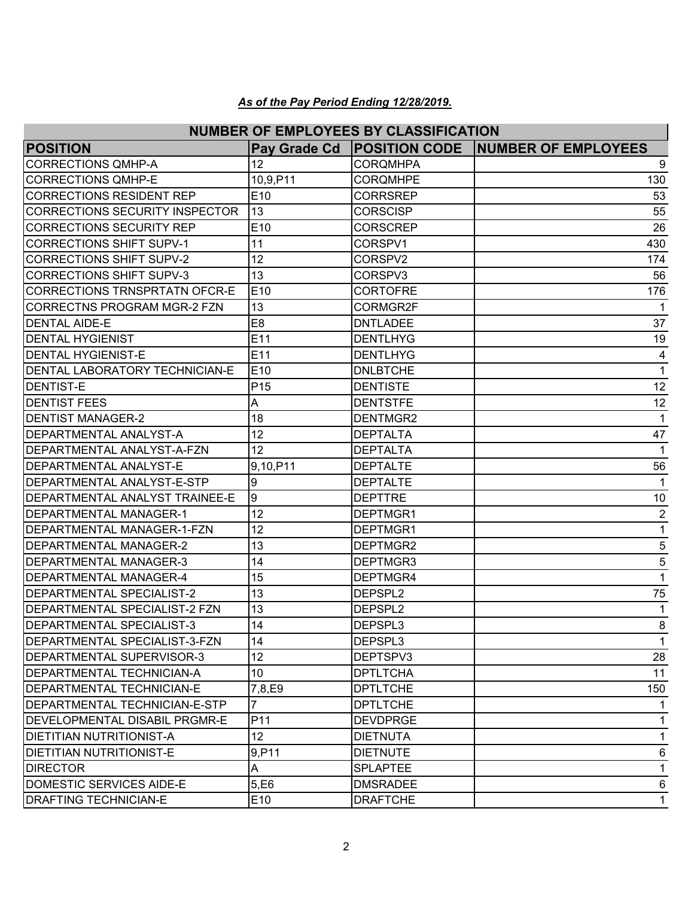| <b>NUMBER OF EMPLOYEES BY CLASSIFICATION</b> |                 |                 |                                          |  |
|----------------------------------------------|-----------------|-----------------|------------------------------------------|--|
| <b>POSITION</b>                              | Pay Grade Cd    |                 | <b>POSITION CODE NUMBER OF EMPLOYEES</b> |  |
| <b>CORRECTIONS QMHP-A</b>                    | 12              | <b>CORQMHPA</b> | 9                                        |  |
| <b>CORRECTIONS QMHP-E</b>                    | 10,9,P11        | <b>CORQMHPE</b> | 130                                      |  |
| CORRECTIONS RESIDENT REP                     | E10             | <b>CORRSREP</b> | 53                                       |  |
| CORRECTIONS SECURITY INSPECTOR               | 13              | <b>CORSCISP</b> | 55                                       |  |
| <b>CORRECTIONS SECURITY REP</b>              | E10             | <b>CORSCREP</b> | 26                                       |  |
| <b>CORRECTIONS SHIFT SUPV-1</b>              | 11              | CORSPV1         | 430                                      |  |
| <b>CORRECTIONS SHIFT SUPV-2</b>              | 12              | CORSPV2         | 174                                      |  |
| <b>CORRECTIONS SHIFT SUPV-3</b>              | 13              | CORSPV3         | 56                                       |  |
| CORRECTIONS TRNSPRTATN OFCR-E                | E <sub>10</sub> | <b>CORTOFRE</b> | 176                                      |  |
| <b>CORRECTNS PROGRAM MGR-2 FZN</b>           | 13              | CORMGR2F        | 1                                        |  |
| <b>DENTAL AIDE-E</b>                         | E <sub>8</sub>  | <b>DNTLADEE</b> | 37                                       |  |
| <b>DENTAL HYGIENIST</b>                      | E11             | <b>DENTLHYG</b> | 19                                       |  |
| <b>DENTAL HYGIENIST-E</b>                    | E11             | <b>DENTLHYG</b> | 4                                        |  |
| <b>DENTAL LABORATORY TECHNICIAN-E</b>        | E <sub>10</sub> | <b>DNLBTCHE</b> | 1                                        |  |
| <b>IDENTIST-E</b>                            | P <sub>15</sub> | <b>DENTISTE</b> | 12                                       |  |
| <b>DENTIST FEES</b>                          | A               | <b>DENTSTFE</b> | 12                                       |  |
| <b>DENTIST MANAGER-2</b>                     | 18              | DENTMGR2        | 1                                        |  |
| <b>DEPARTMENTAL ANALYST-A</b>                | 12              | <b>DEPTALTA</b> | 47                                       |  |
| IDEPARTMENTAL ANALYST-A-FZN                  | 12              | <b>DEPTALTA</b> | $\mathbf{1}$                             |  |
| <b>DEPARTMENTAL ANALYST-E</b>                | 9,10,P11        | <b>DEPTALTE</b> | 56                                       |  |
| DEPARTMENTAL ANALYST-E-STP                   | 9               | <b>DEPTALTE</b> | $\mathbf{1}$                             |  |
| <b>DEPARTMENTAL ANALYST TRAINEE-E</b>        | l9              | <b>DEPTTRE</b>  | 10                                       |  |
| <b>DEPARTMENTAL MANAGER-1</b>                | 12              | DEPTMGR1        | $\overline{2}$                           |  |
| DEPARTMENTAL MANAGER-1-FZN                   | 12              | DEPTMGR1        | 1                                        |  |
| <b>DEPARTMENTAL MANAGER-2</b>                | 13              | DEPTMGR2        | 5                                        |  |
| IDEPARTMENTAL MANAGER-3                      | 14              | DEPTMGR3        | 5                                        |  |
| <b>DEPARTMENTAL MANAGER-4</b>                | 15              | DEPTMGR4        | $\mathbf{1}$                             |  |
| <b>DEPARTMENTAL SPECIALIST-2</b>             | 13              | DEPSPL2         | 75                                       |  |
| <b>IDEPARTMENTAL SPECIALIST-2 FZN</b>        | 13              | DEPSPL2         | 1                                        |  |
| DEPARTMENTAL SPECIALIST-3                    | 14              | DEPSPL3         | R<br>ັບ                                  |  |
| <b>IDEPARTMENTAL SPECIALIST-3-FZN</b>        | 14              | DEPSPL3         | $\mathbf{1}$                             |  |
| DEPARTMENTAL SUPERVISOR-3                    | 12 <sub>2</sub> | DEPTSPV3        | 28                                       |  |
| <b>DEPARTMENTAL TECHNICIAN-A</b>             | 10 <sup>1</sup> | <b>DPTLTCHA</b> | 11                                       |  |
| <b>IDEPARTMENTAL TECHNICIAN-E</b>            | 7,8,E9          | <b>DPTLTCHE</b> | 150                                      |  |
| <b>DEPARTMENTAL TECHNICIAN-E-STP</b>         |                 | <b>DPTLTCHE</b> | 1                                        |  |
| <b>IDEVELOPMENTAL DISABIL PRGMR-E</b>        | P <sub>11</sub> | <b>DEVDPRGE</b> | 1                                        |  |
| DIETITIAN NUTRITIONIST-A                     | 12 <sub>2</sub> | <b>DIETNUTA</b> | 1                                        |  |
| <b>DIETITIAN NUTRITIONIST-E</b>              | 9, P11          | <b>DIETNUTE</b> | 6                                        |  |
| <b>DIRECTOR</b>                              | A               | <b>SPLAPTEE</b> | 1                                        |  |
| DOMESTIC SERVICES AIDE-E                     | 5, E6           | <b>DMSRADEE</b> | 6                                        |  |
| <b>DRAFTING TECHNICIAN-E</b>                 | E10             | <b>DRAFTCHE</b> | 1                                        |  |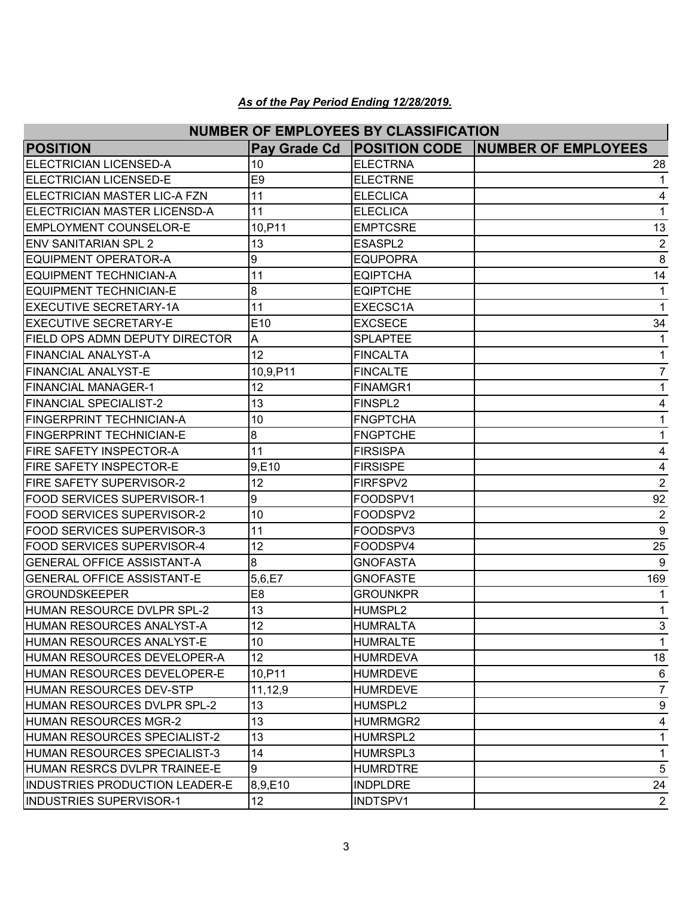| <b>NUMBER OF EMPLOYEES BY CLASSIFICATION</b> |                 |                     |                                                    |  |
|----------------------------------------------|-----------------|---------------------|----------------------------------------------------|--|
| <b>POSITION</b>                              |                 |                     | Pay Grade Cd   POSITION CODE   NUMBER OF EMPLOYEES |  |
| <b>ELECTRICIAN LICENSED-A</b>                | 10              | <b>ELECTRNA</b>     | 28                                                 |  |
| <b>ELECTRICIAN LICENSED-E</b>                | E <sub>9</sub>  | <b>ELECTRNE</b>     | 1                                                  |  |
| <b>IELECTRICIAN MASTER LIC-A FZN</b>         | 11              | <b>ELECLICA</b>     | 4                                                  |  |
| ELECTRICIAN MASTER LICENSD-A                 | 11              | <b>ELECLICA</b>     | 1                                                  |  |
| <b>EMPLOYMENT COUNSELOR-E</b>                | 10, P11         | <b>EMPTCSRE</b>     | 13                                                 |  |
| <b>IENV SANITARIAN SPL 2</b>                 | 13              | ESASPL <sub>2</sub> | $\overline{2}$                                     |  |
| <b>EQUIPMENT OPERATOR-A</b>                  | 9               | <b>EQUPOPRA</b>     | 8                                                  |  |
| IEQUIPMENT TECHNICIAN-A                      | 11              | <b>EQIPTCHA</b>     | 14                                                 |  |
| <b>IEQUIPMENT TECHNICIAN-E</b>               | 8               | <b>EQIPTCHE</b>     | 1                                                  |  |
| <b>EXECUTIVE SECRETARY-1A</b>                | 11              | EXECSC1A            | 1                                                  |  |
| <b>EXECUTIVE SECRETARY-E</b>                 | E <sub>10</sub> | <b>EXCSECE</b>      | 34                                                 |  |
| FIELD OPS ADMN DEPUTY DIRECTOR               | A               | <b>SPLAPTEE</b>     | 1                                                  |  |
| <b>FINANCIAL ANALYST-A</b>                   | 12              | <b>FINCALTA</b>     | 1                                                  |  |
| <b>FINANCIAL ANALYST-E</b>                   | 10,9,P11        | <b>FINCALTE</b>     | $\overline{7}$                                     |  |
| <b>FINANCIAL MANAGER-1</b>                   | 12              | FINAMGR1            | 1                                                  |  |
| <b>FINANCIAL SPECIALIST-2</b>                | 13              | FINSPL <sub>2</sub> | 4                                                  |  |
| <b>FINGERPRINT TECHNICIAN-A</b>              | 10              | <b>FNGPTCHA</b>     | 1                                                  |  |
| <b>FINGERPRINT TECHNICIAN-E</b>              | 8               | <b>FNGPTCHE</b>     | 1                                                  |  |
| FIRE SAFETY INSPECTOR-A                      | 11              | <b>FIRSISPA</b>     | 4                                                  |  |
| FIRE SAFETY INSPECTOR-E                      | 9,E10           | <b>FIRSISPE</b>     | 4                                                  |  |
| <b>FIRE SAFETY SUPERVISOR-2</b>              | 12              | FIRFSPV2            | $\overline{2}$                                     |  |
| <b>FOOD SERVICES SUPERVISOR-1</b>            | 9               | FOODSPV1            | 92                                                 |  |
| <b>FOOD SERVICES SUPERVISOR-2</b>            | 10              | FOODSPV2            | $\overline{2}$                                     |  |
| <b>FOOD SERVICES SUPERVISOR-3</b>            | 11              | FOODSPV3            | 9                                                  |  |
| <b>FOOD SERVICES SUPERVISOR-4</b>            | 12              | FOODSPV4            | 25                                                 |  |
| IGENERAL OFFICE ASSISTANT-A                  | 8               | <b>GNOFASTA</b>     | 9                                                  |  |
| <b>GENERAL OFFICE ASSISTANT-E</b>            | 5,6,E7          | <b>GNOFASTE</b>     | 169                                                |  |
| <b>GROUNDSKEEPER</b>                         | E <sub>8</sub>  | <b>GROUNKPR</b>     |                                                    |  |
| HUMAN RESOURCE DVLPR SPL-2                   | 13              | HUMSPL2             | 1                                                  |  |
| HUMAN RESOURCES ANALYST-A                    | 12              | <b>HUMRALTA</b>     | $\mathbf{3}$                                       |  |
| HUMAN RESOURCES ANALYST-E                    | 10              | <b>HUMRALTE</b>     | $\mathbf{1}$                                       |  |
| HUMAN RESOURCES DEVELOPER-A                  | 12 <sub>2</sub> | <b>HUMRDEVA</b>     | 18                                                 |  |
| HUMAN RESOURCES DEVELOPER-E                  | 10, P11         | <b>HUMRDEVE</b>     | $6\phantom{1}6$                                    |  |
| IHUMAN RESOURCES DEV-STP                     | 11,12,9         | <b>HUMRDEVE</b>     | $\overline{7}$                                     |  |
| HUMAN RESOURCES DVLPR SPL-2                  | 13              | HUMSPL2             | 9                                                  |  |
| HUMAN RESOURCES MGR-2                        | 13              | HUMRMGR2            | 4                                                  |  |
| HUMAN RESOURCES SPECIALIST-2                 | 13              | HUMRSPL2            | 1                                                  |  |
| HUMAN RESOURCES SPECIALIST-3                 | 14              | HUMRSPL3            | 1                                                  |  |
| HUMAN RESRCS DVLPR TRAINEE-E                 | 9               | <b>HUMRDTRE</b>     | 5                                                  |  |
| <b>INDUSTRIES PRODUCTION LEADER-E</b>        | 8,9,E10         | <b>INDPLDRE</b>     | 24                                                 |  |
| <b>INDUSTRIES SUPERVISOR-1</b>               | 12 <sub>2</sub> | INDTSPV1            | $\overline{2}$                                     |  |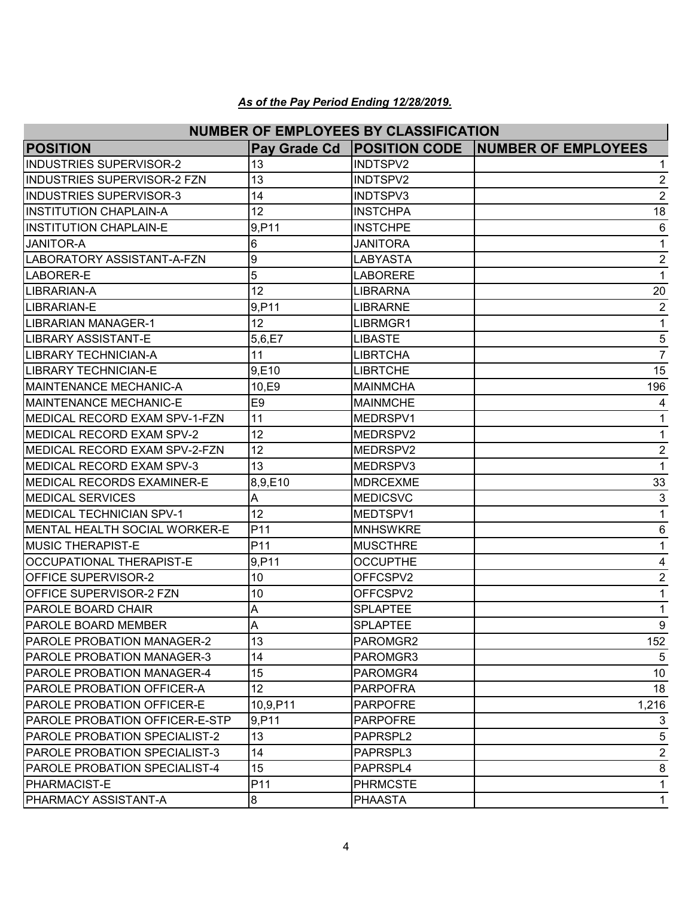| <b>NUMBER OF EMPLOYEES BY CLASSIFICATION</b> |                 |                 |                                                    |  |
|----------------------------------------------|-----------------|-----------------|----------------------------------------------------|--|
| <b>POSITION</b>                              |                 |                 | Pay Grade Cd   POSITION CODE   NUMBER OF EMPLOYEES |  |
| <b>INDUSTRIES SUPERVISOR-2</b>               | 13              | INDTSPV2        | 1                                                  |  |
| <b>INDUSTRIES SUPERVISOR-2 FZN</b>           | 13              | INDTSPV2        | $\overline{2}$                                     |  |
| <b>INDUSTRIES SUPERVISOR-3</b>               | 14              | INDTSPV3        | $\overline{2}$                                     |  |
| <b>INSTITUTION CHAPLAIN-A</b>                | 12              | <b>INSTCHPA</b> | 18                                                 |  |
| <b>INSTITUTION CHAPLAIN-E</b>                | 9,P11           | <b>INSTCHPE</b> | 6                                                  |  |
| <b>JANITOR-A</b>                             | 6               | JANITORA        | 1                                                  |  |
| LABORATORY ASSISTANT-A-FZN                   | 9               | <b>LABYASTA</b> | $\overline{2}$                                     |  |
| LABORER-E                                    | 5               | <b>LABORERE</b> | $\mathbf{1}$                                       |  |
| LIBRARIAN-A                                  | 12              | <b>LIBRARNA</b> | 20                                                 |  |
| LIBRARIAN-E                                  | 9,P11           | <b>LIBRARNE</b> | $\overline{2}$                                     |  |
| <b>LIBRARIAN MANAGER-1</b>                   | 12              | LIBRMGR1        | $\mathbf 1$                                        |  |
| LIBRARY ASSISTANT-E                          | 5,6,E7          | <b>LIBASTE</b>  | 5                                                  |  |
| <b>LIBRARY TECHNICIAN-A</b>                  | 11              | <b>LIBRTCHA</b> | $\overline{7}$                                     |  |
| <b>LIBRARY TECHNICIAN-E</b>                  | 9,E10           | <b>LIBRTCHE</b> | 15                                                 |  |
| <b>MAINTENANCE MECHANIC-A</b>                | 10,E9           | <b>MAINMCHA</b> | 196                                                |  |
| <b>MAINTENANCE MECHANIC-E</b>                | E <sub>9</sub>  | <b>MAINMCHE</b> | 4                                                  |  |
| MEDICAL RECORD EXAM SPV-1-FZN                | 11              | MEDRSPV1        | $\mathbf 1$                                        |  |
| <b>IMEDICAL RECORD EXAM SPV-2</b>            | 12              | MEDRSPV2        | 1                                                  |  |
| MEDICAL RECORD EXAM SPV-2-FZN                | 12              | MEDRSPV2        | $\overline{2}$                                     |  |
| MEDICAL RECORD EXAM SPV-3                    | 13              | MEDRSPV3        | $\mathbf{1}$                                       |  |
| MEDICAL RECORDS EXAMINER-E                   | 8,9,E10         | <b>MDRCEXME</b> | 33                                                 |  |
| <b>MEDICAL SERVICES</b>                      | A               | <b>MEDICSVC</b> | 3                                                  |  |
| <b>MEDICAL TECHNICIAN SPV-1</b>              | 12              | MEDTSPV1        | $\mathbf{1}$                                       |  |
| <b>IMENTAL HEALTH SOCIAL WORKER-E</b>        | P11             | <b>MNHSWKRE</b> | 6                                                  |  |
| <b>MUSIC THERAPIST-E</b>                     | P11             | <b>MUSCTHRE</b> | 1                                                  |  |
| <b>OCCUPATIONAL THERAPIST-E</b>              | 9,P11           | <b>OCCUPTHE</b> | 4                                                  |  |
| <b>OFFICE SUPERVISOR-2</b>                   | 10              | OFFCSPV2        | $\overline{2}$                                     |  |
| <b>OFFICE SUPERVISOR-2 FZN</b>               | 10              | OFFCSPV2        | 1                                                  |  |
| <b>PAROLE BOARD CHAIR</b>                    | A               | <b>SPLAPTEE</b> | 1                                                  |  |
| PAROLE BOARD MEMBER                          | Δ<br>$\sqrt{ }$ | <b>SPLAPTEE</b> | 9                                                  |  |
| <b>PAROLE PROBATION MANAGER-2</b>            | 13              | PAROMGR2        | 152                                                |  |
| <b>PAROLE PROBATION MANAGER-3</b>            | 14              | PAROMGR3        | 5                                                  |  |
| <b>PAROLE PROBATION MANAGER-4</b>            | 15              | PAROMGR4        | 10                                                 |  |
| <b>IPAROLE PROBATION OFFICER-A</b>           | 12 <sup>2</sup> | <b>PARPOFRA</b> | 18                                                 |  |
| <b>PAROLE PROBATION OFFICER-E</b>            | 10,9,P11        | <b>PARPOFRE</b> | 1,216                                              |  |
| <b>PAROLE PROBATION OFFICER-E-STP</b>        | 9, P11          | <b>PARPOFRE</b> | 3                                                  |  |
| PAROLE PROBATION SPECIALIST-2                | 13              | PAPRSPL2        | 5                                                  |  |
| <b>IPAROLE PROBATION SPECIALIST-3</b>        | 14              | PAPRSPL3        | $\overline{2}$                                     |  |
| PAROLE PROBATION SPECIALIST-4                | 15              | PAPRSPL4        | 8                                                  |  |
| <b>PHARMACIST-E</b>                          | P11             | <b>PHRMCSTE</b> | 1                                                  |  |
| <b>PHARMACY ASSISTANT-A</b>                  | 8               | <b>PHAASTA</b>  | 1                                                  |  |
|                                              |                 |                 |                                                    |  |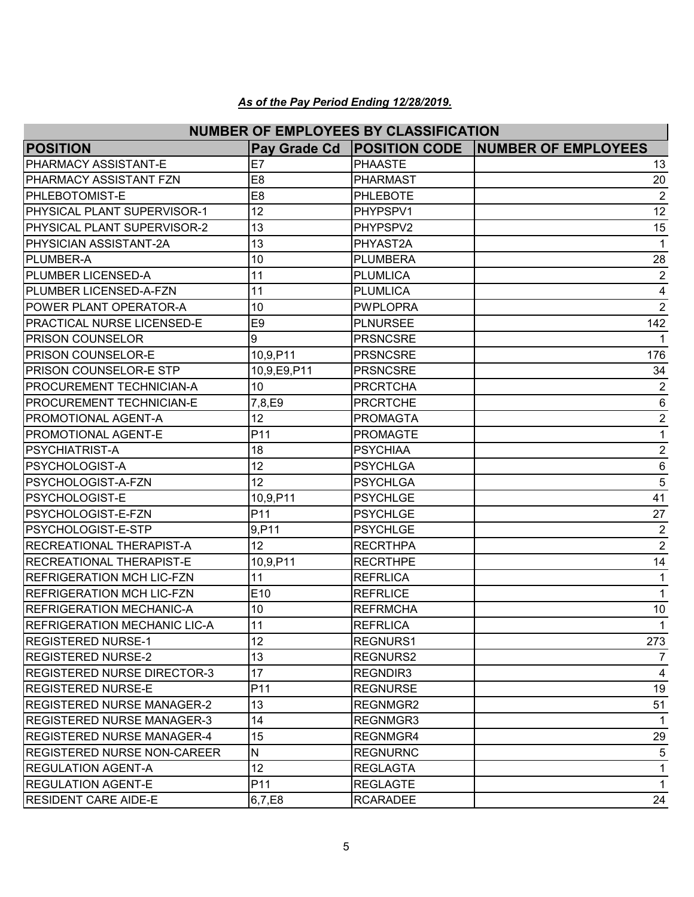| <b>NUMBER OF EMPLOYEES BY CLASSIFICATION</b> |                 |                      |                            |  |
|----------------------------------------------|-----------------|----------------------|----------------------------|--|
| <b>POSITION</b>                              | Pay Grade Cd    | <b>POSITION CODE</b> | <b>NUMBER OF EMPLOYEES</b> |  |
| PHARMACY ASSISTANT-E                         | E7              | <b>PHAASTE</b>       | 13                         |  |
| PHARMACY ASSISTANT FZN                       | E8              | <b>PHARMAST</b>      | 20                         |  |
| <b>PHLEBOTOMIST-E</b>                        | E <sub>8</sub>  | <b>PHLEBOTE</b>      | $\overline{2}$             |  |
| <b>PHYSICAL PLANT SUPERVISOR-1</b>           | 12              | PHYPSPV1             | 12                         |  |
| PHYSICAL PLANT SUPERVISOR-2                  | 13              | PHYPSPV2             | 15                         |  |
| PHYSICIAN ASSISTANT-2A                       | 13              | PHYAST2A             | 1                          |  |
| <b>PLUMBER-A</b>                             | 10              | PLUMBERA             | 28                         |  |
| <b>PLUMBER LICENSED-A</b>                    | 11              | <b>PLUMLICA</b>      | $\overline{2}$             |  |
| <b>PLUMBER LICENSED-A-FZN</b>                | 11              | <b>PLUMLICA</b>      | 4                          |  |
| POWER PLANT OPERATOR-A                       | 10              | <b>PWPLOPRA</b>      | $\overline{2}$             |  |
| <b>PRACTICAL NURSE LICENSED-E</b>            | E <sub>9</sub>  | PLNURSEE             | 142                        |  |
| <b>PRISON COUNSELOR</b>                      | 9               | <b>PRSNCSRE</b>      | 1                          |  |
| <b>PRISON COUNSELOR-E</b>                    | 10,9,P11        | <b>PRSNCSRE</b>      | 176                        |  |
| <b>PRISON COUNSELOR-E STP</b>                | 10,9,E9,P11     | <b>PRSNCSRE</b>      | 34                         |  |
| <b>PROCUREMENT TECHNICIAN-A</b>              | 10              | <b>PRCRTCHA</b>      | $\overline{2}$             |  |
| <b>PROCUREMENT TECHNICIAN-E</b>              | 7,8,E9          | <b>PRCRTCHE</b>      | 6                          |  |
| <b>PROMOTIONAL AGENT-A</b>                   | 12              | <b>PROMAGTA</b>      | $\overline{2}$             |  |
| <b>PROMOTIONAL AGENT-E</b>                   | P11             | <b>PROMAGTE</b>      | $\mathbf 1$                |  |
| <b>PSYCHIATRIST-A</b>                        | 18              | <b>PSYCHIAA</b>      | $\overline{2}$             |  |
| <b>PSYCHOLOGIST-A</b>                        | 12              | PSYCHLGA             | $6\phantom{1}6$            |  |
| PSYCHOLOGIST-A-FZN                           | 12              | <b>PSYCHLGA</b>      | 5                          |  |
| <b>PSYCHOLOGIST-E</b>                        | 10,9,P11        | <b>PSYCHLGE</b>      | 41                         |  |
| PSYCHOLOGIST-E-FZN                           | P11             | PSYCHLGE             | 27                         |  |
| PSYCHOLOGIST-E-STP                           | 9, P11          | <b>PSYCHLGE</b>      | $\overline{2}$             |  |
| <b>RECREATIONAL THERAPIST-A</b>              | 12              | <b>RECRTHPA</b>      | $\overline{2}$             |  |
| <b>RECREATIONAL THERAPIST-E</b>              | 10,9,P11        | <b>RECRTHPE</b>      | 14                         |  |
| <b>REFRIGERATION MCH LIC-FZN</b>             | 11              | <b>REFRLICA</b>      | $\mathbf{1}$               |  |
| <b>REFRIGERATION MCH LIC-FZN</b>             | E10             | <b>REFRLICE</b>      | 1                          |  |
| <b>REFRIGERATION MECHANIC-A</b>              | 10              | <b>REFRMCHA</b>      | 10                         |  |
| <b>REFRIGERATION MECHANIC LIC-A</b>          | 11              | <b>REFRLICA</b>      | $\mathbf{1}$               |  |
| REGISTERED NURSE-1                           | 12              | <b>REGNURS1</b>      | 273                        |  |
| <b>REGISTERED NURSE-2</b>                    | 13              | REGNURS2             | 7                          |  |
| REGISTERED NURSE DIRECTOR-3                  | 17              | REGNDIR3             | 4                          |  |
| <b>REGISTERED NURSE-E</b>                    | P11             | <b>REGNURSE</b>      | 19                         |  |
| <b>REGISTERED NURSE MANAGER-2</b>            | 13              | REGNMGR2             | 51                         |  |
| <b>REGISTERED NURSE MANAGER-3</b>            | 14              | REGNMGR3             | $\mathbf{1}$               |  |
| <b>REGISTERED NURSE MANAGER-4</b>            | 15              | REGNMGR4             | 29                         |  |
| IREGISTERED NURSE NON-CAREER                 | N               | <b>REGNURNC</b>      | 5                          |  |
| <b>REGULATION AGENT-A</b>                    | 12 <sup>°</sup> | <b>REGLAGTA</b>      | 1                          |  |
| <b>REGULATION AGENT-E</b>                    | P11             | <b>REGLAGTE</b>      | $\mathbf{1}$               |  |
| <b>RESIDENT CARE AIDE-E</b>                  | 6,7,E8          | <b>RCARADEE</b>      | 24                         |  |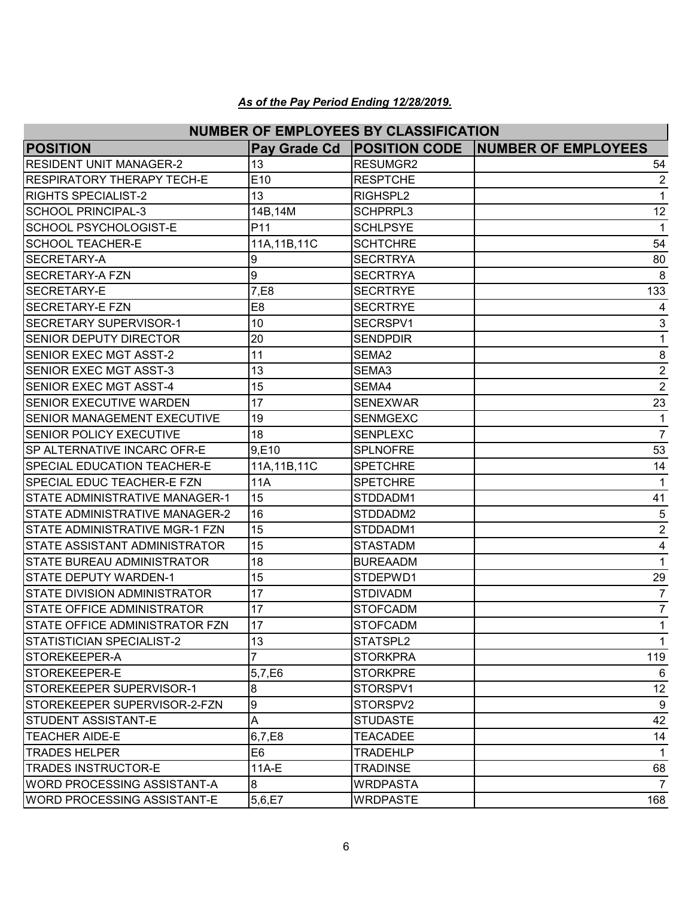| <b>NUMBER OF EMPLOYEES BY CLASSIFICATION</b> |                 |                 |                                          |  |
|----------------------------------------------|-----------------|-----------------|------------------------------------------|--|
| <b>POSITION</b>                              | Pay Grade Cd    |                 | <b>POSITION CODE NUMBER OF EMPLOYEES</b> |  |
| <b>RESIDENT UNIT MANAGER-2</b>               | 13              | RESUMGR2        | 54                                       |  |
| RESPIRATORY THERAPY TECH-E                   | E10             | <b>RESPTCHE</b> | 2                                        |  |
| <b>RIGHTS SPECIALIST-2</b>                   | 13              | RIGHSPL2        | 1                                        |  |
| SCHOOL PRINCIPAL-3                           | 14B, 14M        | <b>SCHPRPL3</b> | 12                                       |  |
| <b>SCHOOL PSYCHOLOGIST-E</b>                 | P <sub>11</sub> | <b>SCHLPSYE</b> | 1                                        |  |
| <b>SCHOOL TEACHER-E</b>                      | 11A, 11B, 11C   | <b>SCHTCHRE</b> | 54                                       |  |
| <b>SECRETARY-A</b>                           | 9               | <b>SECRTRYA</b> | 80                                       |  |
| <b>SECRETARY-A FZN</b>                       | 9               | <b>SECRTRYA</b> | 8                                        |  |
| <b>ISECRETARY-E</b>                          | 7,E8            | <b>SECRTRYE</b> | 133                                      |  |
| <b>SECRETARY-E FZN</b>                       | E <sub>8</sub>  | <b>SECRTRYE</b> | 4                                        |  |
| <b>SECRETARY SUPERVISOR-1</b>                | 10              | SECRSPV1        | $\ensuremath{\mathsf{3}}$                |  |
| <b>SENIOR DEPUTY DIRECTOR</b>                | 20              | <b>SENDPDIR</b> | $\mathbf 1$                              |  |
| <b>SENIOR EXEC MGT ASST-2</b>                | 11              | SEMA2           | 8                                        |  |
| <b>ISENIOR EXEC MGT ASST-3</b>               | 13              | SEMA3           | $\boldsymbol{2}$                         |  |
| <b>SENIOR EXEC MGT ASST-4</b>                | 15              | SEMA4           | $\overline{2}$                           |  |
| <b>SENIOR EXECUTIVE WARDEN</b>               | 17              | <b>SENEXWAR</b> | 23                                       |  |
| <b>SENIOR MANAGEMENT EXECUTIVE</b>           | 19              | <b>SENMGEXC</b> | $\mathbf{1}$                             |  |
| <b>SENIOR POLICY EXECUTIVE</b>               | 18              | <b>SENPLEXC</b> | $\overline{7}$                           |  |
| SP ALTERNATIVE INCARC OFR-E                  | 9,E10           | <b>SPLNOFRE</b> | 53                                       |  |
| <b>SPECIAL EDUCATION TEACHER-E</b>           | 11A, 11B, 11C   | <b>SPETCHRE</b> | 14                                       |  |
| <b>SPECIAL EDUC TEACHER-E FZN</b>            | 11A             | <b>SPETCHRE</b> | $\mathbf{1}$                             |  |
| <b>STATE ADMINISTRATIVE MANAGER-1</b>        | 15              | STDDADM1        | 41                                       |  |
| <b>STATE ADMINISTRATIVE MANAGER-2</b>        | 16              | STDDADM2        | 5                                        |  |
| <b>STATE ADMINISTRATIVE MGR-1 FZN</b>        | 15              | STDDADM1        | $\boldsymbol{2}$                         |  |
| <b>STATE ASSISTANT ADMINISTRATOR</b>         | 15              | <b>STASTADM</b> | 4                                        |  |
| <b>STATE BUREAU ADMINISTRATOR</b>            | 18              | <b>BUREAADM</b> | $\mathbf{1}$                             |  |
| <b>STATE DEPUTY WARDEN-1</b>                 | 15              | STDEPWD1        | 29                                       |  |
| <b>STATE DIVISION ADMINISTRATOR</b>          | 17              | <b>STDIVADM</b> | $\overline{7}$                           |  |
| <b>STATE OFFICE ADMINISTRATOR</b>            | 17              | <b>STOFCADM</b> | $\overline{7}$                           |  |
| STATE OFFICE ADMINISTRATOR FZN               | $17$            | <b>STOFCADM</b> | $\mathbf{1}$                             |  |
| STATISTICIAN SPECIALIST-2                    | 13              | STATSPL2        | $\mathbf{1}$                             |  |
| STOREKEEPER-A                                |                 | <b>STORKPRA</b> | 119                                      |  |
| STOREKEEPER-E                                | 5,7,E6          | <b>STORKPRE</b> | $\,6$                                    |  |
| STOREKEEPER SUPERVISOR-1                     | 8               | STORSPV1        | 12                                       |  |
| STOREKEEPER SUPERVISOR-2-FZN                 | l9              | STORSPV2        | 9                                        |  |
| <b>STUDENT ASSISTANT-E</b>                   | A               | <b>STUDASTE</b> | 42                                       |  |
| <b>TEACHER AIDE-E</b>                        | 6,7,E8          | <b>TEACADEE</b> | 14                                       |  |
| <b>TRADES HELPER</b>                         | E6              | <b>TRADEHLP</b> | 1                                        |  |
| <b>TRADES INSTRUCTOR-E</b>                   | 11A-E           | <b>TRADINSE</b> | 68                                       |  |
| WORD PROCESSING ASSISTANT-A                  | 8               | <b>WRDPASTA</b> | $\overline{7}$                           |  |
| <b>WORD PROCESSING ASSISTANT-E</b>           | 5,6,E7          | <b>WRDPASTE</b> | 168                                      |  |